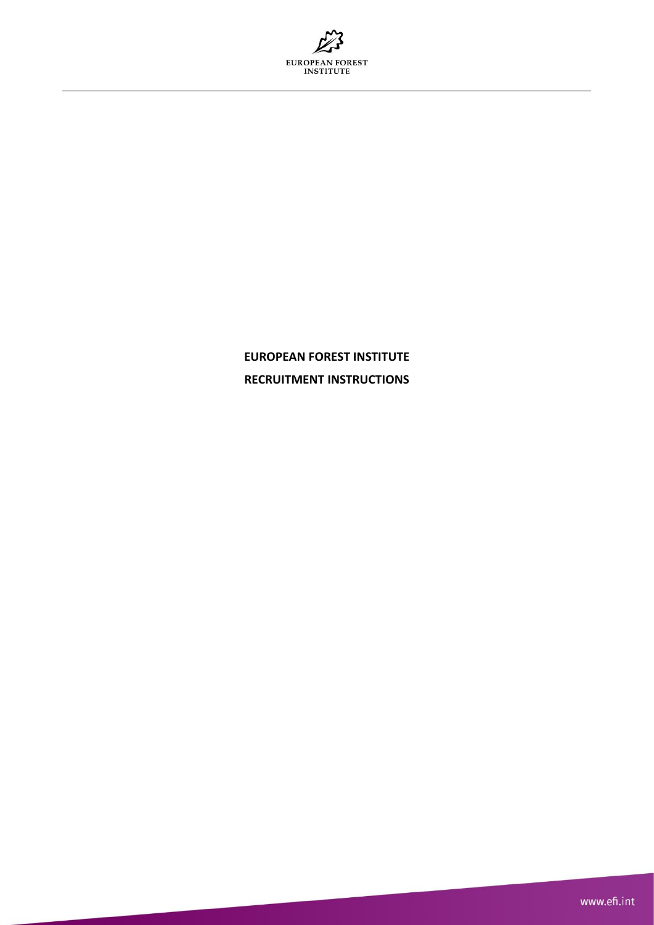

# **EUROPEAN FOREST INSTITUTE RECRUITMENT INSTRUCTIONS**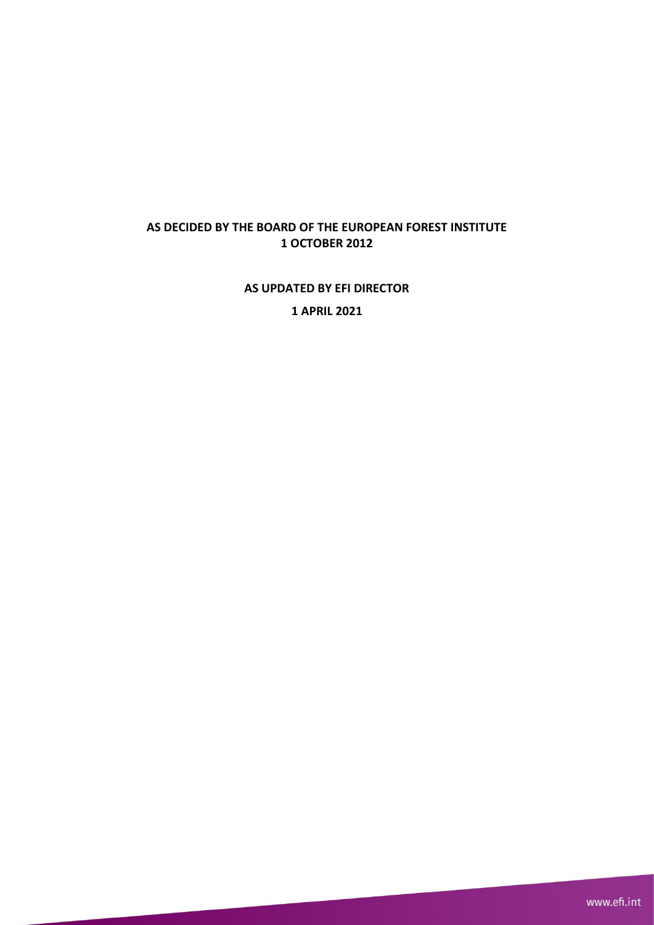# **AS DECIDED BY THE BOARD OF THE EUROPEAN FOREST INSTITUTE 1 OCTOBER 2012**

**AS UPDATED BY EFI DIRECTOR** 

**1 APRIL 2021**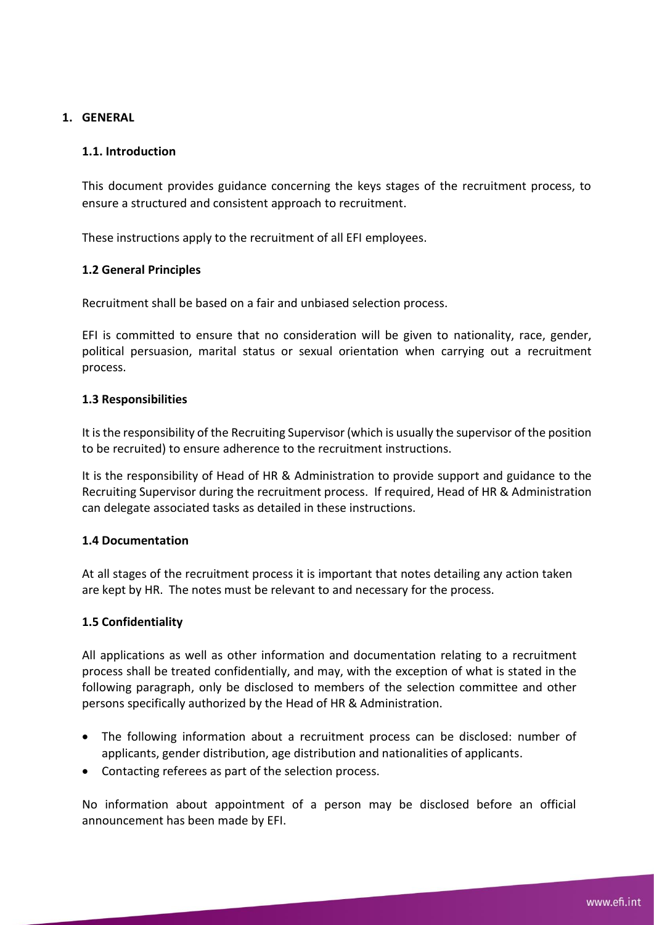# **1. GENERAL**

## **1.1. Introduction**

This document provides guidance concerning the keys stages of the recruitment process, to ensure a structured and consistent approach to recruitment.

These instructions apply to the recruitment of all EFI employees.

## **1.2 General Principles**

Recruitment shall be based on a fair and unbiased selection process.

EFI is committed to ensure that no consideration will be given to nationality, race, gender, political persuasion, marital status or sexual orientation when carrying out a recruitment process.

## **1.3 Responsibilities**

It is the responsibility of the Recruiting Supervisor (which is usually the supervisor of the position to be recruited) to ensure adherence to the recruitment instructions.

It is the responsibility of Head of HR & Administration to provide support and guidance to the Recruiting Supervisor during the recruitment process. If required, Head of HR & Administration can delegate associated tasks as detailed in these instructions.

## **1.4 Documentation**

At all stages of the recruitment process it is important that notes detailing any action taken are kept by HR. The notes must be relevant to and necessary for the process.

## **1.5 Confidentiality**

All applications as well as other information and documentation relating to a recruitment process shall be treated confidentially, and may, with the exception of what is stated in the following paragraph, only be disclosed to members of the selection committee and other persons specifically authorized by the Head of HR & Administration.

- The following information about a recruitment process can be disclosed: number of applicants, gender distribution, age distribution and nationalities of applicants.
- Contacting referees as part of the selection process.

No information about appointment of a person may be disclosed before an official announcement has been made by EFI.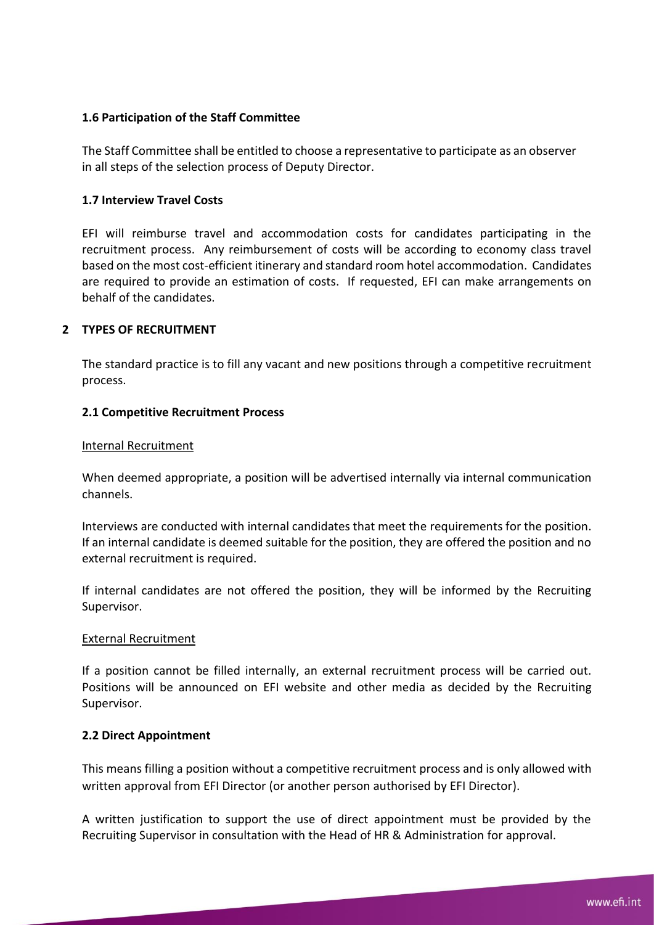## **1.6 Participation of the Staff Committee**

The Staff Committee shall be entitled to choose a representative to participate as an observer in all steps of the selection process of Deputy Director.

## **1.7 Interview Travel Costs**

EFI will reimburse travel and accommodation costs for candidates participating in the recruitment process. Any reimbursement of costs will be according to economy class travel based on the most cost-efficient itinerary and standard room hotel accommodation. Candidates are required to provide an estimation of costs. If requested, EFI can make arrangements on behalf of the candidates.

## **2 TYPES OF RECRUITMENT**

The standard practice is to fill any vacant and new positions through a competitive recruitment process.

## **2.1 Competitive Recruitment Process**

## Internal Recruitment

When deemed appropriate, a position will be advertised internally via internal communication channels.

Interviews are conducted with internal candidates that meet the requirements for the position. If an internal candidate is deemed suitable for the position, they are offered the position and no external recruitment is required.

If internal candidates are not offered the position, they will be informed by the Recruiting Supervisor.

## External Recruitment

If a position cannot be filled internally, an external recruitment process will be carried out. Positions will be announced on EFI website and other media as decided by the Recruiting Supervisor.

## **2.2 Direct Appointment**

This means filling a position without a competitive recruitment process and is only allowed with written approval from EFI Director (or another person authorised by EFI Director).

A written justification to support the use of direct appointment must be provided by the Recruiting Supervisor in consultation with the Head of HR & Administration for approval.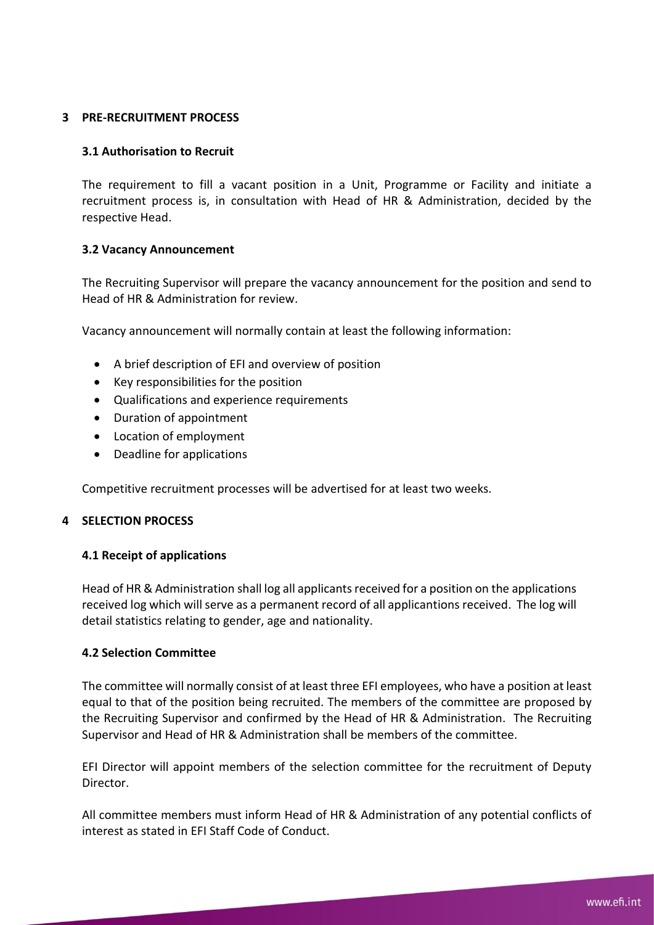## **3 PRE-RECRUITMENT PROCESS**

## **3.1 Authorisation to Recruit**

The requirement to fill a vacant position in a Unit, Programme or Facility and initiate a recruitment process is, in consultation with Head of HR & Administration, decided by the respective Head.

## **3.2 Vacancy Announcement**

The Recruiting Supervisor will prepare the vacancy announcement for the position and send to Head of HR & Administration for review.

Vacancy announcement will normally contain at least the following information:

- A brief description of EFI and overview of position
- Key responsibilities for the position
- Qualifications and experience requirements
- Duration of appointment
- Location of employment
- Deadline for applications

Competitive recruitment processes will be advertised for at least two weeks.

## **4 SELECTION PROCESS**

## **4.1 Receipt of applications**

Head of HR & Administration shall log all applicants received for a position on the applications received log which will serve as a permanent record of all applicantions received. The log will detail statistics relating to gender, age and nationality.

## **4.2 Selection Committee**

The committee will normally consist of at least three EFI employees, who have a position at least equal to that of the position being recruited. The members of the committee are proposed by the Recruiting Supervisor and confirmed by the Head of HR & Administration. The Recruiting Supervisor and Head of HR & Administration shall be members of the committee.

EFI Director will appoint members of the selection committee for the recruitment of Deputy Director.

All committee members must inform Head of HR & Administration of any potential conflicts of interest as stated in EFI Staff Code of Conduct.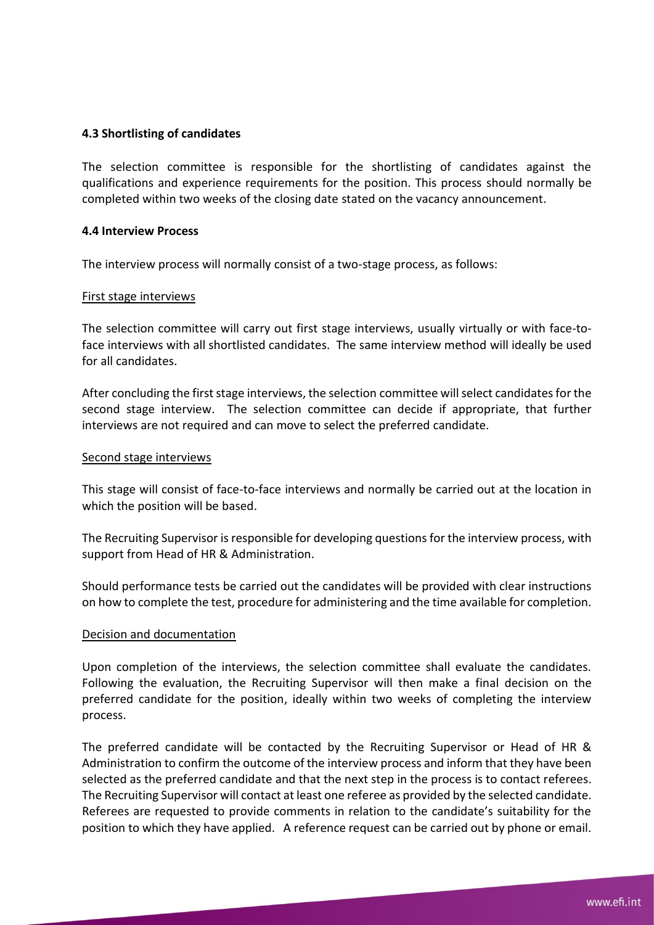## **4.3 Shortlisting of candidates**

The selection committee is responsible for the shortlisting of candidates against the qualifications and experience requirements for the position. This process should normally be completed within two weeks of the closing date stated on the vacancy announcement.

#### **4.4 Interview Process**

The interview process will normally consist of a two-stage process, as follows:

#### First stage interviews

The selection committee will carry out first stage interviews, usually virtually or with face-toface interviews with all shortlisted candidates. The same interview method will ideally be used for all candidates.

After concluding the first stage interviews, the selection committee will select candidates for the second stage interview. The selection committee can decide if appropriate, that further interviews are not required and can move to select the preferred candidate.

#### Second stage interviews

This stage will consist of face-to-face interviews and normally be carried out at the location in which the position will be based.

The Recruiting Supervisor is responsible for developing questions for the interview process, with support from Head of HR & Administration.

Should performance tests be carried out the candidates will be provided with clear instructions on how to complete the test, procedure for administering and the time available for completion.

## Decision and documentation

Upon completion of the interviews, the selection committee shall evaluate the candidates. Following the evaluation, the Recruiting Supervisor will then make a final decision on the preferred candidate for the position, ideally within two weeks of completing the interview process.

The preferred candidate will be contacted by the Recruiting Supervisor or Head of HR & Administration to confirm the outcome of the interview process and inform that they have been selected as the preferred candidate and that the next step in the process is to contact referees. The Recruiting Supervisor will contact at least one referee as provided by the selected candidate. Referees are requested to provide comments in relation to the candidate's suitability for the position to which they have applied. A reference request can be carried out by phone or email.